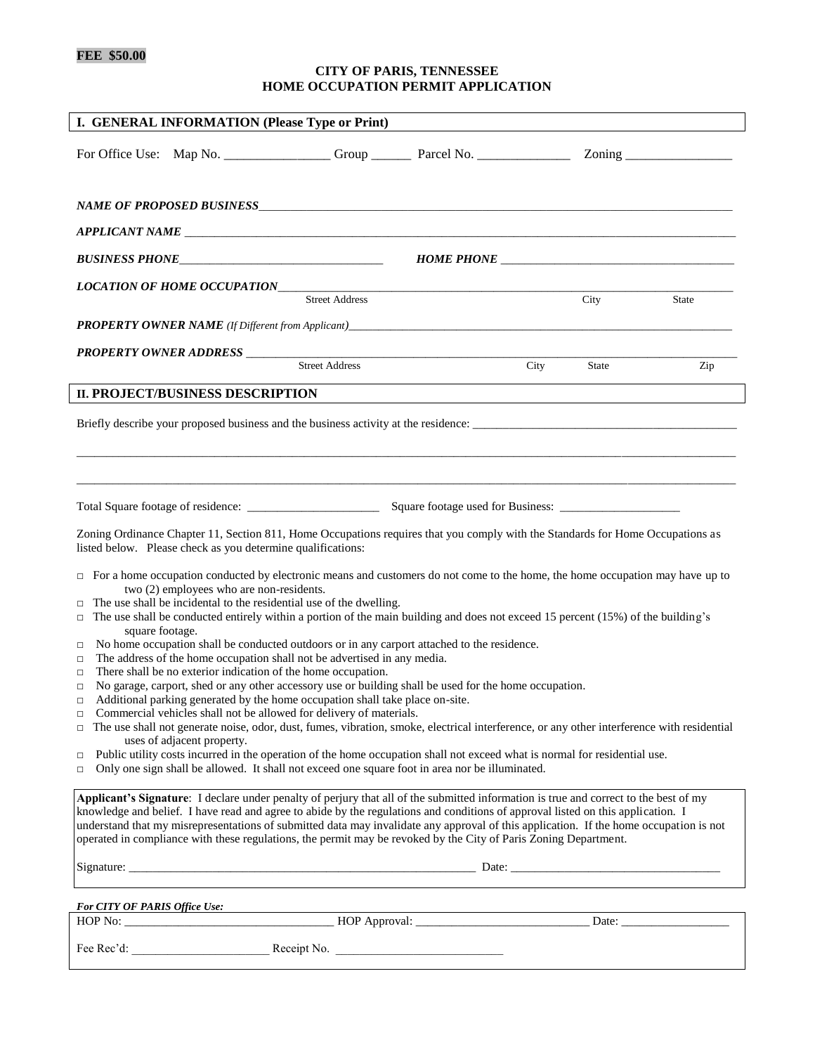# **FEE \$50.00**

## **CITY OF PARIS, TENNESSEE HOME OCCUPATION PERMIT APPLICATION**

| I. GENERAL INFORMATION (Please Type or Print)                                                                                                                                                                                                                             |                       |  |      |       |       |
|---------------------------------------------------------------------------------------------------------------------------------------------------------------------------------------------------------------------------------------------------------------------------|-----------------------|--|------|-------|-------|
| For Office Use: Map No. ________________Group ________Parcel No. ________________Zoning ______________________                                                                                                                                                            |                       |  |      |       |       |
|                                                                                                                                                                                                                                                                           |                       |  |      |       |       |
|                                                                                                                                                                                                                                                                           |                       |  |      |       |       |
| APPLICANT NAME                                                                                                                                                                                                                                                            |                       |  |      |       |       |
|                                                                                                                                                                                                                                                                           |                       |  |      |       |       |
|                                                                                                                                                                                                                                                                           | <b>Street Address</b> |  |      | City  | State |
|                                                                                                                                                                                                                                                                           |                       |  |      |       |       |
| <b>PROPERTY OWNER ADDRESS</b>                                                                                                                                                                                                                                             |                       |  |      |       |       |
|                                                                                                                                                                                                                                                                           | <b>Street Address</b> |  | City | State | Zip   |
| <b>II. PROJECT/BUSINESS DESCRIPTION</b>                                                                                                                                                                                                                                   |                       |  |      |       |       |
|                                                                                                                                                                                                                                                                           |                       |  |      |       |       |
|                                                                                                                                                                                                                                                                           |                       |  |      |       |       |
|                                                                                                                                                                                                                                                                           |                       |  |      |       |       |
|                                                                                                                                                                                                                                                                           |                       |  |      |       |       |
| Zoning Ordinance Chapter 11, Section 811, Home Occupations requires that you comply with the Standards for Home Occupations as                                                                                                                                            |                       |  |      |       |       |
| listed below. Please check as you determine qualifications:                                                                                                                                                                                                               |                       |  |      |       |       |
| $\Box$ For a home occupation conducted by electronic means and customers do not come to the home, the home occupation may have up to<br>two (2) employees who are non-residents.                                                                                          |                       |  |      |       |       |
| The use shall be incidental to the residential use of the dwelling.                                                                                                                                                                                                       |                       |  |      |       |       |
| The use shall be conducted entirely within a portion of the main building and does not exceed 15 percent (15%) of the building's<br>$\Box$<br>square footage.                                                                                                             |                       |  |      |       |       |
| No home occupation shall be conducted outdoors or in any carport attached to the residence.<br>□<br>The address of the home occupation shall not be advertised in any media.                                                                                              |                       |  |      |       |       |
| □<br>There shall be no exterior indication of the home occupation.<br>$\Box$                                                                                                                                                                                              |                       |  |      |       |       |
| No garage, carport, shed or any other accessory use or building shall be used for the home occupation.<br>$\Box$<br>Additional parking generated by the home occupation shall take place on-site.<br>$\Box$                                                               |                       |  |      |       |       |
| Commercial vehicles shall not be allowed for delivery of materials.<br>$\Box$                                                                                                                                                                                             |                       |  |      |       |       |
| The use shall not generate noise, odor, dust, fumes, vibration, smoke, electrical interference, or any other interference with residential<br>$\Box$<br>uses of adjacent property.                                                                                        |                       |  |      |       |       |
| Public utility costs incurred in the operation of the home occupation shall not exceed what is normal for residential use.<br>$\Box$<br>Only one sign shall be allowed. It shall not exceed one square foot in area nor be illuminated.<br>$\Box$                         |                       |  |      |       |       |
|                                                                                                                                                                                                                                                                           |                       |  |      |       |       |
| Applicant's Signature: I declare under penalty of perjury that all of the submitted information is true and correct to the best of my<br>knowledge and belief. I have read and agree to abide by the regulations and conditions of approval listed on this application. I |                       |  |      |       |       |
| understand that my misrepresentations of submitted data may invalidate any approval of this application. If the home occupation is not<br>operated in compliance with these regulations, the permit may be revoked by the City of Paris Zoning Department.                |                       |  |      |       |       |
|                                                                                                                                                                                                                                                                           |                       |  |      |       |       |
| <b>For CITY OF PARIS Office Use:</b>                                                                                                                                                                                                                                      |                       |  |      |       |       |
|                                                                                                                                                                                                                                                                           |                       |  |      |       |       |
|                                                                                                                                                                                                                                                                           |                       |  |      |       |       |